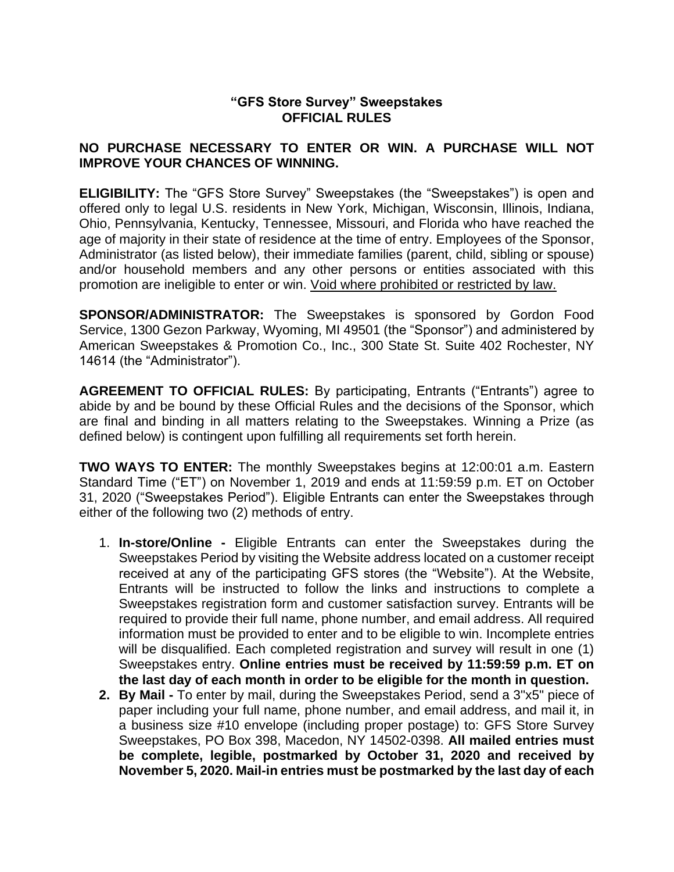## **"GFS Store Survey" Sweepstakes OFFICIAL RULES**

## **NO PURCHASE NECESSARY TO ENTER OR WIN. A PURCHASE WILL NOT IMPROVE YOUR CHANCES OF WINNING.**

**ELIGIBILITY:** The "GFS Store Survey" Sweepstakes (the "Sweepstakes") is open and offered only to legal U.S. residents in New York, Michigan, Wisconsin, Illinois, Indiana, Ohio, Pennsylvania, Kentucky, Tennessee, Missouri, and Florida who have reached the age of majority in their state of residence at the time of entry. Employees of the Sponsor, Administrator (as listed below), their immediate families (parent, child, sibling or spouse) and/or household members and any other persons or entities associated with this promotion are ineligible to enter or win. Void where prohibited or restricted by law.

**SPONSOR/ADMINISTRATOR:** The Sweepstakes is sponsored by Gordon Food Service, 1300 Gezon Parkway, Wyoming, MI 49501 (the "Sponsor") and administered by American Sweepstakes & Promotion Co., Inc., 300 State St. Suite 402 Rochester, NY 14614 (the "Administrator").

**AGREEMENT TO OFFICIAL RULES:** By participating, Entrants ("Entrants") agree to abide by and be bound by these Official Rules and the decisions of the Sponsor, which are final and binding in all matters relating to the Sweepstakes. Winning a Prize (as defined below) is contingent upon fulfilling all requirements set forth herein.

**TWO WAYS TO ENTER:** The monthly Sweepstakes begins at 12:00:01 a.m. Eastern Standard Time ("ET") on November 1, 2019 and ends at 11:59:59 p.m. ET on October 31, 2020 ("Sweepstakes Period"). Eligible Entrants can enter the Sweepstakes through either of the following two (2) methods of entry.

- 1. **In-store/Online -** Eligible Entrants can enter the Sweepstakes during the Sweepstakes Period by visiting the Website address located on a customer receipt received at any of the participating GFS stores (the "Website"). At the Website, Entrants will be instructed to follow the links and instructions to complete a Sweepstakes registration form and customer satisfaction survey. Entrants will be required to provide their full name, phone number, and email address. All required information must be provided to enter and to be eligible to win. Incomplete entries will be disqualified. Each completed registration and survey will result in one (1) Sweepstakes entry. **Online entries must be received by 11:59:59 p.m. ET on the last day of each month in order to be eligible for the month in question.**
- **2. By Mail -** To enter by mail, during the Sweepstakes Period, send a 3"x5" piece of paper including your full name, phone number, and email address, and mail it, in a business size #10 envelope (including proper postage) to: GFS Store Survey Sweepstakes, PO Box 398, Macedon, NY 14502-0398. **All mailed entries must be complete, legible, postmarked by October 31, 2020 and received by November 5, 2020. Mail-in entries must be postmarked by the last day of each**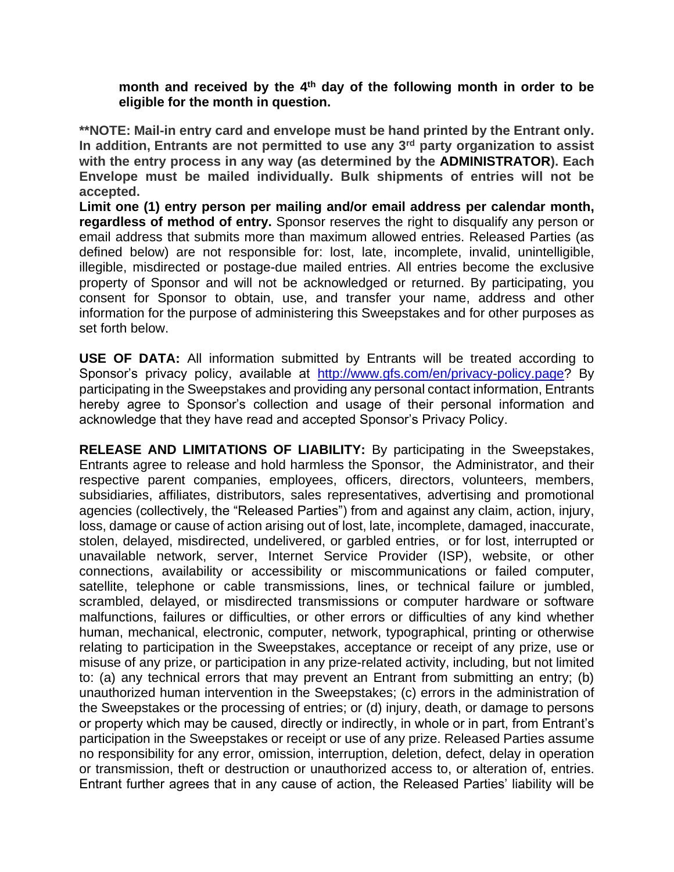## **month and received by the 4th day of the following month in order to be eligible for the month in question.**

**\*\*NOTE: Mail-in entry card and envelope must be hand printed by the Entrant only. In addition, Entrants are not permitted to use any 3rd party organization to assist with the entry process in any way (as determined by the ADMINISTRATOR). Each Envelope must be mailed individually. Bulk shipments of entries will not be accepted.**

**Limit one (1) entry person per mailing and/or email address per calendar month, regardless of method of entry.** Sponsor reserves the right to disqualify any person or email address that submits more than maximum allowed entries. Released Parties (as defined below) are not responsible for: lost, late, incomplete, invalid, unintelligible, illegible, misdirected or postage-due mailed entries. All entries become the exclusive property of Sponsor and will not be acknowledged or returned. By participating, you consent for Sponsor to obtain, use, and transfer your name, address and other information for the purpose of administering this Sweepstakes and for other purposes as set forth below.

**USE OF DATA:** All information submitted by Entrants will be treated according to Sponsor's privacy policy, available at [http://www.gfs.com/en/privacy-policy.page?](http://www.gfs.com/en/privacy-policy.page) By participating in the Sweepstakes and providing any personal contact information, Entrants hereby agree to Sponsor's collection and usage of their personal information and acknowledge that they have read and accepted Sponsor's Privacy Policy.

**RELEASE AND LIMITATIONS OF LIABILITY:** By participating in the Sweepstakes, Entrants agree to release and hold harmless the Sponsor, the Administrator, and their respective parent companies, employees, officers, directors, volunteers, members, subsidiaries, affiliates, distributors, sales representatives, advertising and promotional agencies (collectively, the "Released Parties") from and against any claim, action, injury, loss, damage or cause of action arising out of lost, late, incomplete, damaged, inaccurate, stolen, delayed, misdirected, undelivered, or garbled entries, or for lost, interrupted or unavailable network, server, Internet Service Provider (ISP), website, or other connections, availability or accessibility or miscommunications or failed computer, satellite, telephone or cable transmissions, lines, or technical failure or jumbled, scrambled, delayed, or misdirected transmissions or computer hardware or software malfunctions, failures or difficulties, or other errors or difficulties of any kind whether human, mechanical, electronic, computer, network, typographical, printing or otherwise relating to participation in the Sweepstakes, acceptance or receipt of any prize, use or misuse of any prize, or participation in any prize-related activity, including, but not limited to: (a) any technical errors that may prevent an Entrant from submitting an entry; (b) unauthorized human intervention in the Sweepstakes; (c) errors in the administration of the Sweepstakes or the processing of entries; or (d) injury, death, or damage to persons or property which may be caused, directly or indirectly, in whole or in part, from Entrant's participation in the Sweepstakes or receipt or use of any prize. Released Parties assume no responsibility for any error, omission, interruption, deletion, defect, delay in operation or transmission, theft or destruction or unauthorized access to, or alteration of, entries. Entrant further agrees that in any cause of action, the Released Parties' liability will be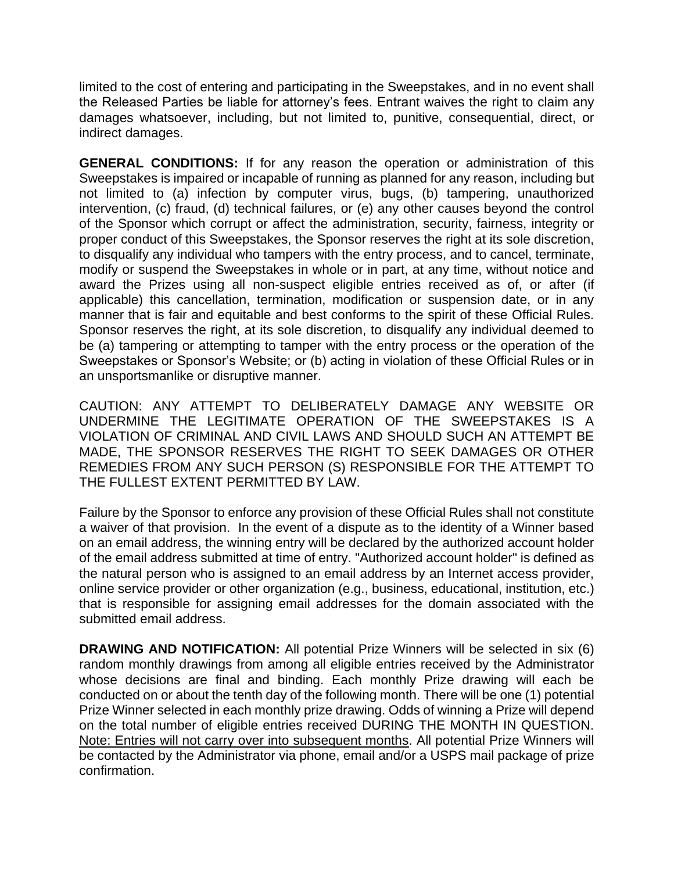limited to the cost of entering and participating in the Sweepstakes, and in no event shall the Released Parties be liable for attorney's fees. Entrant waives the right to claim any damages whatsoever, including, but not limited to, punitive, consequential, direct, or indirect damages.

**GENERAL CONDITIONS:** If for any reason the operation or administration of this Sweepstakes is impaired or incapable of running as planned for any reason, including but not limited to (a) infection by computer virus, bugs, (b) tampering, unauthorized intervention, (c) fraud, (d) technical failures, or (e) any other causes beyond the control of the Sponsor which corrupt or affect the administration, security, fairness, integrity or proper conduct of this Sweepstakes, the Sponsor reserves the right at its sole discretion, to disqualify any individual who tampers with the entry process, and to cancel, terminate, modify or suspend the Sweepstakes in whole or in part, at any time, without notice and award the Prizes using all non-suspect eligible entries received as of, or after (if applicable) this cancellation, termination, modification or suspension date, or in any manner that is fair and equitable and best conforms to the spirit of these Official Rules. Sponsor reserves the right, at its sole discretion, to disqualify any individual deemed to be (a) tampering or attempting to tamper with the entry process or the operation of the Sweepstakes or Sponsor's Website; or (b) acting in violation of these Official Rules or in an unsportsmanlike or disruptive manner.

CAUTION: ANY ATTEMPT TO DELIBERATELY DAMAGE ANY WEBSITE OR UNDERMINE THE LEGITIMATE OPERATION OF THE SWEEPSTAKES IS A VIOLATION OF CRIMINAL AND CIVIL LAWS AND SHOULD SUCH AN ATTEMPT BE MADE, THE SPONSOR RESERVES THE RIGHT TO SEEK DAMAGES OR OTHER REMEDIES FROM ANY SUCH PERSON (S) RESPONSIBLE FOR THE ATTEMPT TO THE FULLEST EXTENT PERMITTED BY LAW.

Failure by the Sponsor to enforce any provision of these Official Rules shall not constitute a waiver of that provision. In the event of a dispute as to the identity of a Winner based on an email address, the winning entry will be declared by the authorized account holder of the email address submitted at time of entry. "Authorized account holder" is defined as the natural person who is assigned to an email address by an Internet access provider, online service provider or other organization (e.g., business, educational, institution, etc.) that is responsible for assigning email addresses for the domain associated with the submitted email address.

**DRAWING AND NOTIFICATION:** All potential Prize Winners will be selected in six (6) random monthly drawings from among all eligible entries received by the Administrator whose decisions are final and binding. Each monthly Prize drawing will each be conducted on or about the tenth day of the following month. There will be one (1) potential Prize Winner selected in each monthly prize drawing. Odds of winning a Prize will depend on the total number of eligible entries received DURING THE MONTH IN QUESTION. Note: Entries will not carry over into subsequent months. All potential Prize Winners will be contacted by the Administrator via phone, email and/or a USPS mail package of prize confirmation.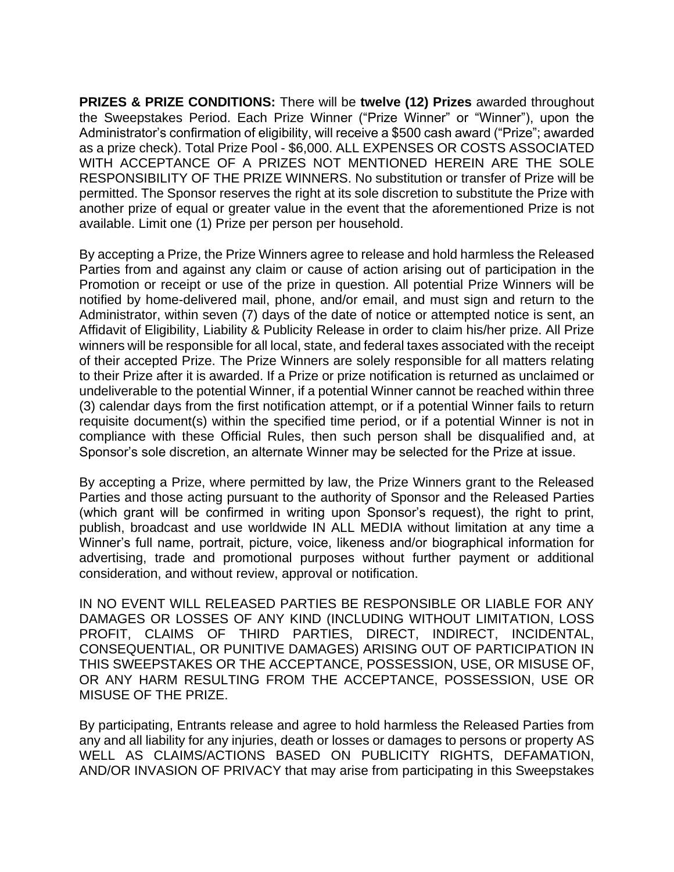**PRIZES & PRIZE CONDITIONS:** There will be **twelve (12) Prizes** awarded throughout the Sweepstakes Period. Each Prize Winner ("Prize Winner" or "Winner"), upon the Administrator's confirmation of eligibility, will receive a \$500 cash award ("Prize"; awarded as a prize check). Total Prize Pool - \$6,000. ALL EXPENSES OR COSTS ASSOCIATED WITH ACCEPTANCE OF A PRIZES NOT MENTIONED HEREIN ARE THE SOLE RESPONSIBILITY OF THE PRIZE WINNERS. No substitution or transfer of Prize will be permitted. The Sponsor reserves the right at its sole discretion to substitute the Prize with another prize of equal or greater value in the event that the aforementioned Prize is not available. Limit one (1) Prize per person per household.

By accepting a Prize, the Prize Winners agree to release and hold harmless the Released Parties from and against any claim or cause of action arising out of participation in the Promotion or receipt or use of the prize in question. All potential Prize Winners will be notified by home-delivered mail, phone, and/or email, and must sign and return to the Administrator, within seven (7) days of the date of notice or attempted notice is sent, an Affidavit of Eligibility, Liability & Publicity Release in order to claim his/her prize. All Prize winners will be responsible for all local, state, and federal taxes associated with the receipt of their accepted Prize. The Prize Winners are solely responsible for all matters relating to their Prize after it is awarded. If a Prize or prize notification is returned as unclaimed or undeliverable to the potential Winner, if a potential Winner cannot be reached within three (3) calendar days from the first notification attempt, or if a potential Winner fails to return requisite document(s) within the specified time period, or if a potential Winner is not in compliance with these Official Rules, then such person shall be disqualified and, at Sponsor's sole discretion, an alternate Winner may be selected for the Prize at issue.

By accepting a Prize, where permitted by law, the Prize Winners grant to the Released Parties and those acting pursuant to the authority of Sponsor and the Released Parties (which grant will be confirmed in writing upon Sponsor's request), the right to print, publish, broadcast and use worldwide IN ALL MEDIA without limitation at any time a Winner's full name, portrait, picture, voice, likeness and/or biographical information for advertising, trade and promotional purposes without further payment or additional consideration, and without review, approval or notification.

IN NO EVENT WILL RELEASED PARTIES BE RESPONSIBLE OR LIABLE FOR ANY DAMAGES OR LOSSES OF ANY KIND (INCLUDING WITHOUT LIMITATION, LOSS PROFIT, CLAIMS OF THIRD PARTIES, DIRECT, INDIRECT, INCIDENTAL, CONSEQUENTIAL, OR PUNITIVE DAMAGES) ARISING OUT OF PARTICIPATION IN THIS SWEEPSTAKES OR THE ACCEPTANCE, POSSESSION, USE, OR MISUSE OF, OR ANY HARM RESULTING FROM THE ACCEPTANCE, POSSESSION, USE OR MISUSE OF THE PRIZE.

By participating, Entrants release and agree to hold harmless the Released Parties from any and all liability for any injuries, death or losses or damages to persons or property AS WELL AS CLAIMS/ACTIONS BASED ON PUBLICITY RIGHTS, DEFAMATION, AND/OR INVASION OF PRIVACY that may arise from participating in this Sweepstakes